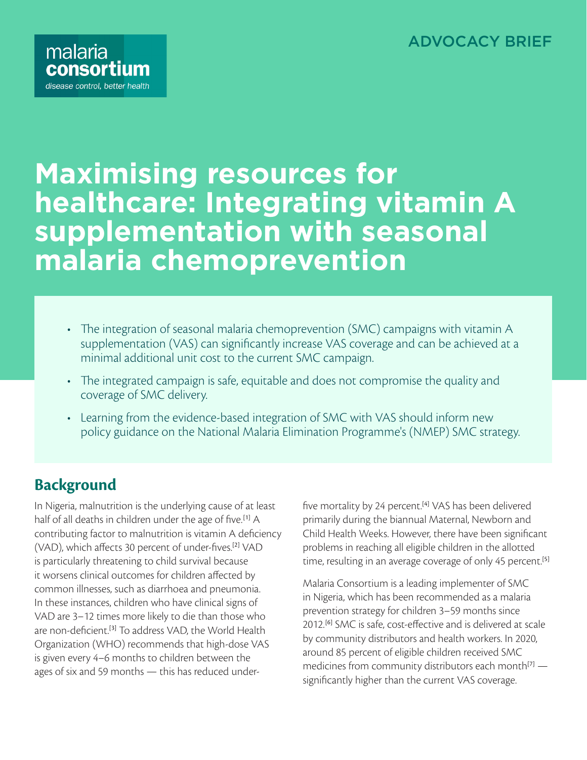#### ADVOCACY BRIEF



# **Maximising resources for healthcare: Integrating vitamin A supplementation with seasonal malaria chemoprevention**

- The integration of seasonal malaria chemoprevention (SMC) campaigns with vitamin A supplementation (VAS) can significantly increase VAS coverage and can be achieved at a minimal additional unit cost to the current SMC campaign.
- The integrated campaign is safe, equitable and does not compromise the quality and coverage of SMC delivery.
- Learning from the evidence-based integration of SMC with VAS should inform new policy guidance on the National Malaria Elimination Programme's (NMEP) SMC strategy.

# **Background**

In Nigeria, malnutrition is the underlying cause of at least half of all deaths in children under the age of five.<sup>[1]</sup> A contributing factor to malnutrition is vitamin A deficiency (VAD), which affects 30 percent of under-fives.[2] VAD is particularly threatening to child survival because it worsens clinical outcomes for children affected by common illnesses, such as diarrhoea and pneumonia. In these instances, children who have clinical signs of VAD are 3–12 times more likely to die than those who are non-deficient.<sup>[3]</sup> To address VAD, the World Health Organization (WHO) recommends that high-dose VAS is given every 4–6 months to children between the ages of six and 59 months — this has reduced underfive mortality by 24 percent.<sup>[4]</sup> VAS has been delivered primarily during the biannual Maternal, Newborn and Child Health Weeks. However, there have been significant problems in reaching all eligible children in the allotted time, resulting in an average coverage of only 45 percent.<sup>[5]</sup>

Malaria Consortium is a leading implementer of SMC in Nigeria, which has been recommended as a malaria prevention strategy for children 3–59 months since 2012.<sup>[6]</sup> SMC is safe, cost-effective and is delivered at scale by community distributors and health workers. In 2020, around 85 percent of eligible children received SMC medicines from community distributors each month $[7]$  significantly higher than the current VAS coverage.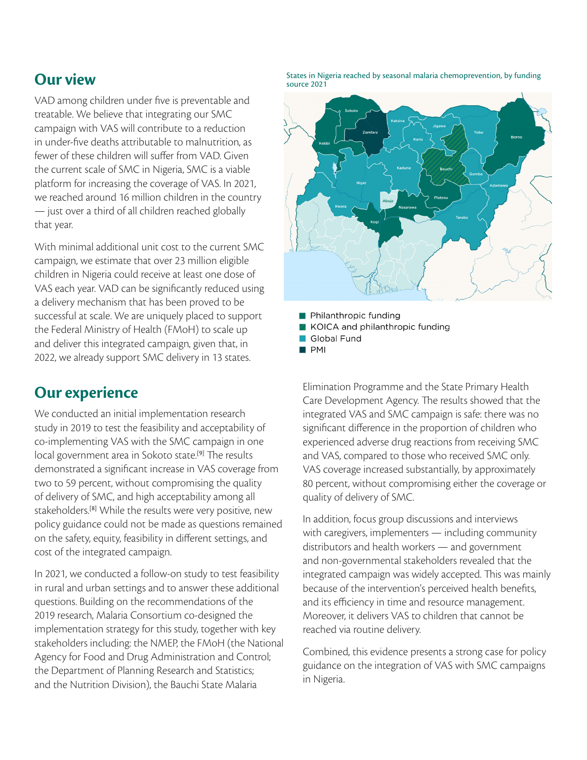## **Our view**

VAD among children under five is preventable and treatable. We believe that integrating our SMC campaign with VAS will contribute to a reduction in under-five deaths attributable to malnutrition, as fewer of these children will suffer from VAD. Given the current scale of SMC in Nigeria, SMC is a viable platform for increasing the coverage of VAS. In 2021, we reached around 16 million children in the country — just over a third of all children reached globally that year.

With minimal additional unit cost to the current SMC campaign, we estimate that over 23 million eligible children in Nigeria could receive at least one dose of VAS each year. VAD can be significantly reduced using a delivery mechanism that has been proved to be successful at scale. We are uniquely placed to support the Federal Ministry of Health (FMoH) to scale up and deliver this integrated campaign, given that, in 2022, we already support SMC delivery in 13 states.

# **Our experience**

We conducted an initial implementation research study in 2019 to test the feasibility and acceptability of co-implementing VAS with the SMC campaign in one local government area in Sokoto state.<sup>[9]</sup> The results demonstrated a significant increase in VAS coverage from two to 59 percent, without compromising the quality of delivery of SMC, and high acceptability among all stakeholders.<sup>[8]</sup> While the results were very positive, new policy guidance could not be made as questions remained on the safety, equity, feasibility in different settings, and cost of the integrated campaign.

In 2021, we conducted a follow-on study to test feasibility in rural and urban settings and to answer these additional questions. Building on the recommendations of the 2019 research, Malaria Consortium co-designed the implementation strategy for this study, together with key stakeholders including: the NMEP, the FMoH (the National Agency for Food and Drug Administration and Control; the Department of Planning Research and Statistics; and the Nutrition Division), the Bauchi State Malaria

States in Nigeria reached by seasonal malaria chemoprevention, by funding source 2021



- Philanthropic funding
- KOICA and philanthropic funding
- Global Fund
- $\blacksquare$  PMI

Elimination Programme and the State Primary Health Care Development Agency. The results showed that the integrated VAS and SMC campaign is safe: there was no significant difference in the proportion of children who experienced adverse drug reactions from receiving SMC and VAS, compared to those who received SMC only. VAS coverage increased substantially, by approximately 80 percent, without compromising either the coverage or quality of delivery of SMC.

In addition, focus group discussions and interviews with caregivers, implementers — including community distributors and health workers — and government and non-governmental stakeholders revealed that the integrated campaign was widely accepted. This was mainly because of the intervention's perceived health benefits, and its efficiency in time and resource management. Moreover, it delivers VAS to children that cannot be reached via routine delivery.

Combined, this evidence presents a strong case for policy guidance on the integration of VAS with SMC campaigns in Nigeria.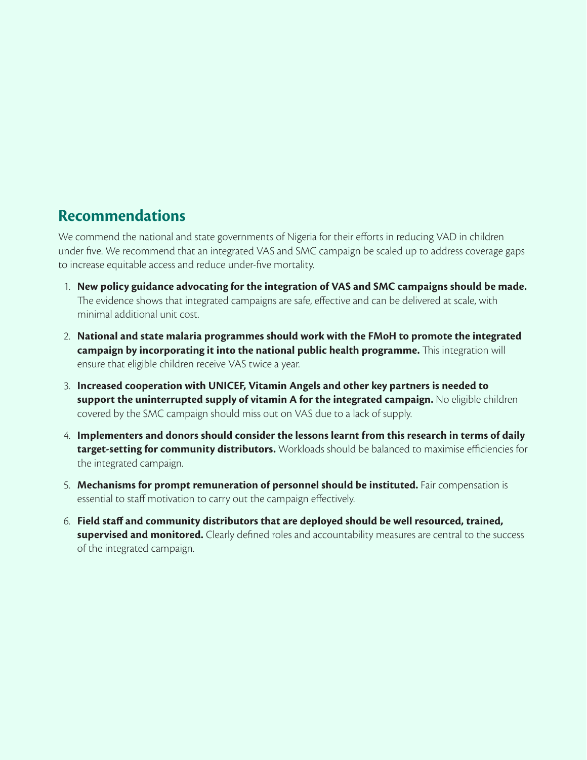#### **Recommendations**

We commend the national and state governments of Nigeria for their efforts in reducing VAD in children under five. We recommend that an integrated VAS and SMC campaign be scaled up to address coverage gaps to increase equitable access and reduce under-five mortality.

- 1. **New policy guidance advocating for the integration of VAS and SMC campaigns should be made.**  The evidence shows that integrated campaigns are safe, effective and can be delivered at scale, with minimal additional unit cost.
- 2. **National and state malaria programmes should work with the FMoH to promote the integrated campaign by incorporating it into the national public health programme.** This integration will ensure that eligible children receive VAS twice a year.
- 3. **Increased cooperation with UNICEF, Vitamin Angels and other key partners is needed to support the uninterrupted supply of vitamin A for the integrated campaign.** No eligible children covered by the SMC campaign should miss out on VAS due to a lack of supply.
- 4. **Implementers and donors should consider the lessons learnt from this research in terms of daily target-setting for community distributors.** Workloads should be balanced to maximise efficiencies for the integrated campaign.
- 5. **Mechanisms for prompt remuneration of personnel should be instituted.** Fair compensation is essential to staff motivation to carry out the campaign effectively.
- 6. **Field staff and community distributors that are deployed should be well resourced, trained, supervised and monitored.** Clearly defined roles and accountability measures are central to the success of the integrated campaign.